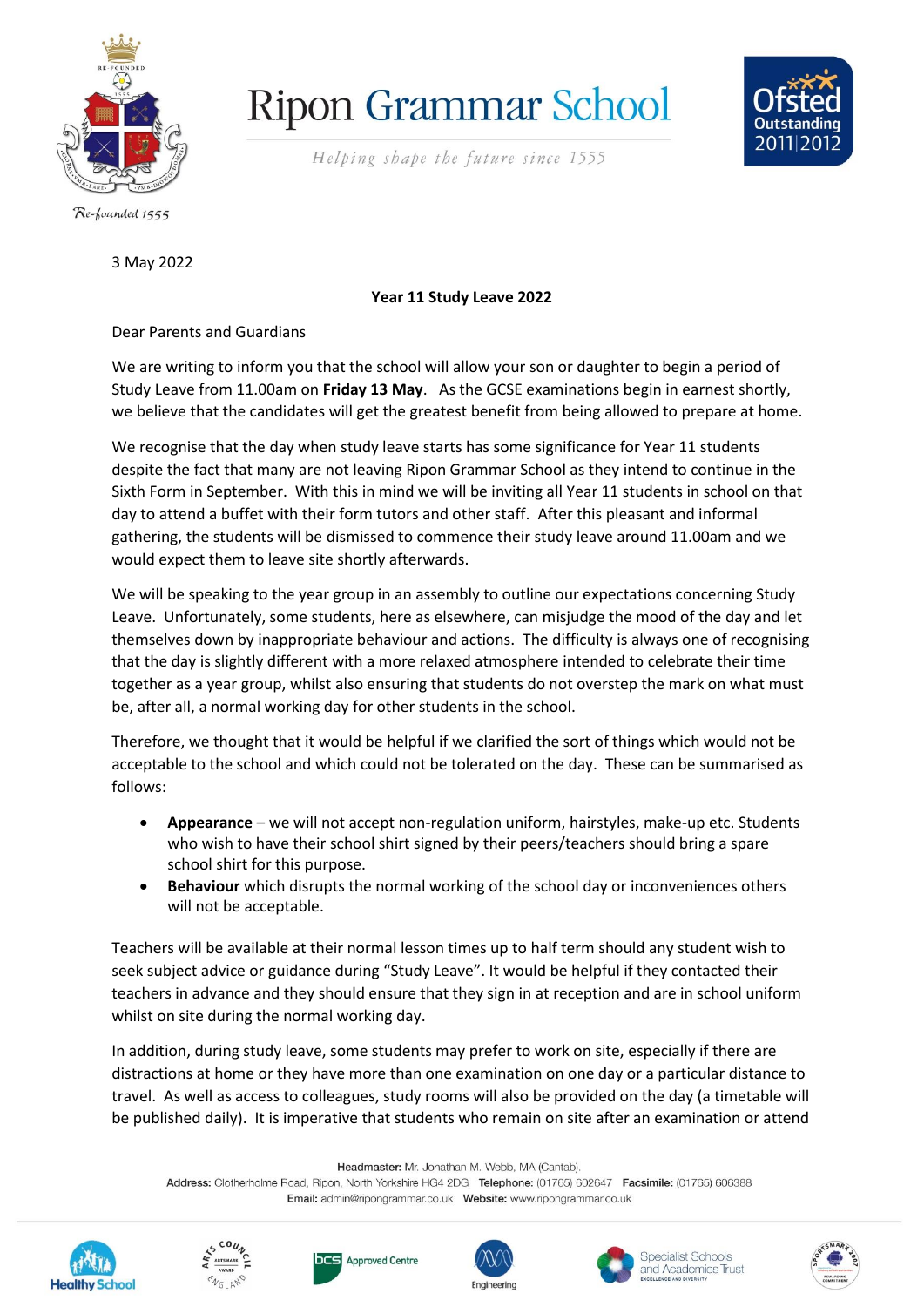

## **Ripon Grammar School**

Helping shape the future since 1555



Re-founded 1555

3 May 2022

## **Year 11 Study Leave 2022**

Dear Parents and Guardians

We are writing to inform you that the school will allow your son or daughter to begin a period of Study Leave from 11.00am on **Friday 13 May**. As the GCSE examinations begin in earnest shortly, we believe that the candidates will get the greatest benefit from being allowed to prepare at home.

We recognise that the day when study leave starts has some significance for Year 11 students despite the fact that many are not leaving Ripon Grammar School as they intend to continue in the Sixth Form in September. With this in mind we will be inviting all Year 11 students in school on that day to attend a buffet with their form tutors and other staff. After this pleasant and informal gathering, the students will be dismissed to commence their study leave around 11.00am and we would expect them to leave site shortly afterwards.

We will be speaking to the year group in an assembly to outline our expectations concerning Study Leave. Unfortunately, some students, here as elsewhere, can misjudge the mood of the day and let themselves down by inappropriate behaviour and actions. The difficulty is always one of recognising that the day is slightly different with a more relaxed atmosphere intended to celebrate their time together as a year group, whilst also ensuring that students do not overstep the mark on what must be, after all, a normal working day for other students in the school.

Therefore, we thought that it would be helpful if we clarified the sort of things which would not be acceptable to the school and which could not be tolerated on the day. These can be summarised as follows:

- **Appearance** we will not accept non-regulation uniform, hairstyles, make-up etc. Students who wish to have their school shirt signed by their peers/teachers should bring a spare school shirt for this purpose.
- **Behaviour** which disrupts the normal working of the school day or inconveniences others will not be acceptable.

Teachers will be available at their normal lesson times up to half term should any student wish to seek subject advice or guidance during "Study Leave". It would be helpful if they contacted their teachers in advance and they should ensure that they sign in at reception and are in school uniform whilst on site during the normal working day.

In addition, during study leave, some students may prefer to work on site, especially if there are distractions at home or they have more than one examination on one day or a particular distance to travel. As well as access to colleagues, study rooms will also be provided on the day (a timetable will be published daily). It is imperative that students who remain on site after an examination or attend

Headmaster: Mr. Jonathan M. Webb, MA (Cantab).

Address: Clotherholme Road, Ripon, North Yorkshire HG4 2DG Telephone: (01765) 602647 Facsimile: (01765) 606388